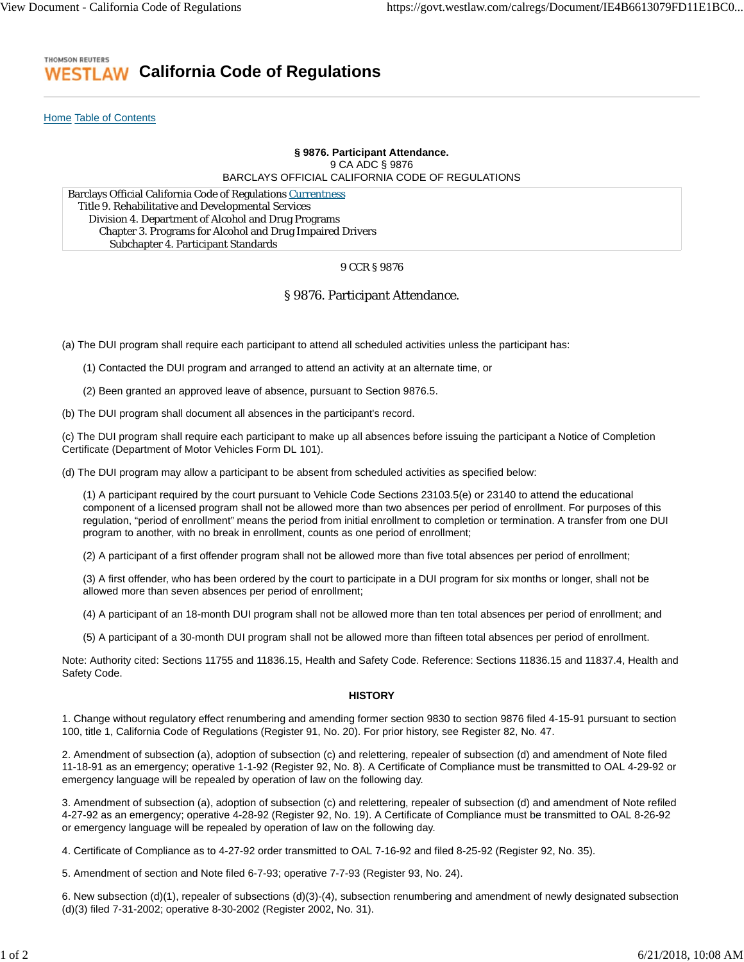### **THOMSON REUTERS California Code of Regulations** ESTL AW

Home Table of Contents

# **§ 9876. Participant Attendance.** 9 CA ADC § 9876 BARCLAYS OFFICIAL CALIFORNIA CODE OF REGULATIONS

Barclays Official California Code of Regulations Currentness Title 9. Rehabilitative and Developmental Services Division 4. Department of Alcohol and Drug Programs Chapter 3. Programs for Alcohol and Drug Impaired Drivers Subchapter 4. Participant Standards

## 9 CCR § 9876

# § 9876. Participant Attendance.

(a) The DUI program shall require each participant to attend all scheduled activities unless the participant has:

(1) Contacted the DUI program and arranged to attend an activity at an alternate time, or

(2) Been granted an approved leave of absence, pursuant to Section 9876.5.

(b) The DUI program shall document all absences in the participant's record.

(c) The DUI program shall require each participant to make up all absences before issuing the participant a Notice of Completion Certificate (Department of Motor Vehicles Form DL 101).

(d) The DUI program may allow a participant to be absent from scheduled activities as specified below:

(1) A participant required by the court pursuant to Vehicle Code Sections 23103.5(e) or 23140 to attend the educational component of a licensed program shall not be allowed more than two absences per period of enrollment. For purposes of this regulation, "period of enrollment" means the period from initial enrollment to completion or termination. A transfer from one DUI program to another, with no break in enrollment, counts as one period of enrollment;

(2) A participant of a first offender program shall not be allowed more than five total absences per period of enrollment;

(3) A first offender, who has been ordered by the court to participate in a DUI program for six months or longer, shall not be allowed more than seven absences per period of enrollment;

(4) A participant of an 18-month DUI program shall not be allowed more than ten total absences per period of enrollment; and

(5) A participant of a 30-month DUI program shall not be allowed more than fifteen total absences per period of enrollment.

Note: Authority cited: Sections 11755 and 11836.15, Health and Safety Code. Reference: Sections 11836.15 and 11837.4, Health and Safety Code.

## **HISTORY**

1. Change without regulatory effect renumbering and amending former section 9830 to section 9876 filed 4-15-91 pursuant to section 100, title 1, California Code of Regulations (Register 91, No. 20). For prior history, see Register 82, No. 47.

2. Amendment of subsection (a), adoption of subsection (c) and relettering, repealer of subsection (d) and amendment of Note filed 11-18-91 as an emergency; operative 1-1-92 (Register 92, No. 8). A Certificate of Compliance must be transmitted to OAL 4-29-92 or emergency language will be repealed by operation of law on the following day.

3. Amendment of subsection (a), adoption of subsection (c) and relettering, repealer of subsection (d) and amendment of Note refiled 4-27-92 as an emergency; operative 4-28-92 (Register 92, No. 19). A Certificate of Compliance must be transmitted to OAL 8-26-92 or emergency language will be repealed by operation of law on the following day.

4. Certificate of Compliance as to 4-27-92 order transmitted to OAL 7-16-92 and filed 8-25-92 (Register 92, No. 35).

5. Amendment of section and Note filed 6-7-93; operative 7-7-93 (Register 93, No. 24).

6. New subsection (d)(1), repealer of subsections (d)(3)-(4), subsection renumbering and amendment of newly designated subsection (d)(3) filed 7-31-2002; operative 8-30-2002 (Register 2002, No. 31).